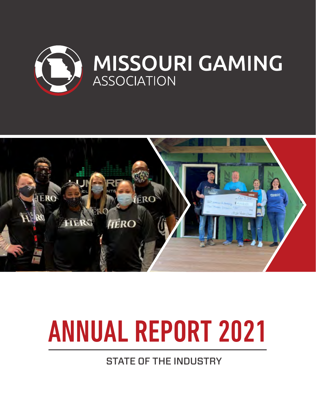



# ANNUAL REPORT 2021

STATE OF THE INDUSTRY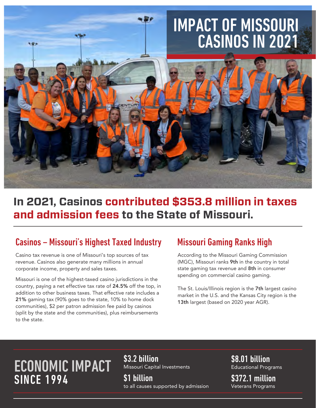# IMPACT OF MISSOURI CASINOS IN 2021



## **In 2021, Casinos contributed \$353.8 million in taxes and admission fees to the State of Missouri.**

### Casinos – Missouri's Highest Taxed Industry

Casino tax revenue is one of Missouri's top sources of tax revenue. Casinos also generate many millions in annual corporate income, property and sales taxes.

Missouri is one of the highest-taxed casino jurisdictions in the country, paying a net effective tax rate of 24.5% off the top, in addition to other business taxes. That effective rate includes a 21% gaming tax (90% goes to the state, 10% to home dock communities), \$2 per patron admission fee paid by casinos (split by the state and the communities), plus reimbursements to the state.

### Missouri Gaming Ranks High

According to the Missouri Gaming Commission (MGC), Missouri ranks 9th in the country in total state gaming tax revenue and 8th in consumer spending on commercial casino gaming.

The St. Louis/Illinois region is the 7th largest casino market in the U.S. and the Kansas City region is the 13th largest (based on 2020 year AGR).

# ECONOMIC IMPACT **SINCE 1994**

\$3.2 billion Missouri Capital Investments

\$1 billion to all causes supported by admission \$8.01 billion Educational Programs

\$372.1 million Veterans Programs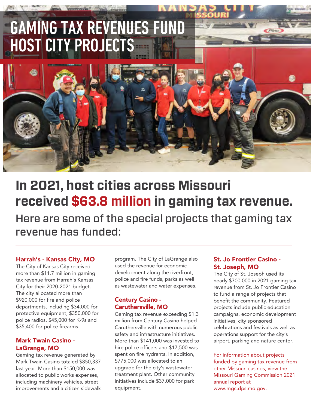# GAMING TAX REVENUES FUND HOST CITY PROJECTS

# Here are some of the special projects that gaming tax **In 2021, host cities across Missouri received \$63.8 million in gaming tax revenue.**

revenue has funded:

### Harrah's - Kansas City, MO

The City of Kansas City received more than \$11.7 million in gaming tax revenue from Harrah's Kansas City for their 2020-2021 budget. The city allocated more than \$920,000 for fire and police departments, including \$34,000 for protective equipment, \$350,000 for police radios, \$45,000 for K-9s and \$35,400 for police firearms.

### Mark Twain Casino - LaGrange, MO

Gaming tax revenue generated by Mark Twain Casino totaled \$850,337 last year. More than \$150,000 was allocated to public works expenses, including machinery vehicles, street improvements and a citizen sidewalk program. The City of LaGrange also used the revenue for economic development along the riverfront, police and fire funds, parks as well as wastewater and water expenses.

### Century Casino - Caruthersville, MO

Gaming tax revenue exceeding \$1.3 million from Century Casino helped Caruthersville with numerous public safety and infrastructure initiatives. More than \$141,000 was invested to hire police officers and \$17,500 was spent on fire hydrants. In addition, \$775,000 was allocated to an upgrade for the city's wastewater treatment plant. Other community initiatives include \$37,000 for park equipment.

### St. Jo Frontier Casino - St. Joseph, MO

The City of St. Joseph used its nearly \$700,000 in 2021 gaming tax revenue from St. Jo Frontier Casino to fund a range of projects that benefit the community. Featured projects include public education campaigns, economic development initiatives, city sponsored celebrations and festivals as well as operations support for the city's airport, parking and nature center.

For information about projects funded by gaming tax revenue from other Missouri casinos, view the Missouri Gaming Commission 2021 annual report at www.mgc.dps.mo.gov.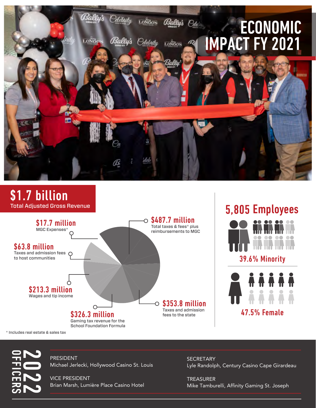

### .7 billion Total Adjusted Gross Revenue



# 5,805 Employees



39.6% Minority



\* Includes real estate & sales tax



PRESIDENT Michael Jerlecki, Hollywood Casino St. Louis

VICE PRESIDENT Brian Marsh, Lumière Place Casino Hotel

**SECRETARY** Lyle Randolph, Century Casino Cape Girardeau

TREASURER Mike Tamburelli, Affinity Gaming St. Joseph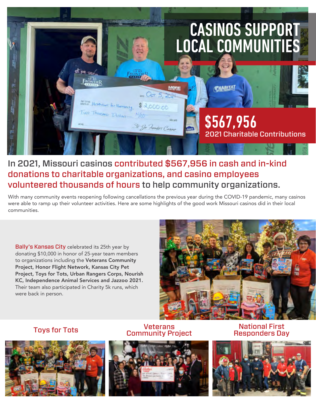

### In 2021, Missouri casinos contributed \$567,956 in cash and in-kind donations to charitable organizations, and casino employees volunteered thousands of hours to help community organizations.

With many community events reopening following cancellations the previous year during the COVID-19 pandemic, many casinos were able to ramp up their volunteer activities. Here are some highlights of the good work Missouri casinos did in their local communities.

Bally's Kansas City celebrated its 25th year by donating \$10,000 in honor of 25-year team members to organizations including the Veterans Community Project, Honor Flight Network, Kansas City Pet Project, Toys for Tots, Urban Rangers Corps, Nourish KC, Independence Animal Services and Jazzoo 2021. Their team also participated in Charity 5k runs, which were back in person.





### Veterans Community Project Toys for Tots National First



Responders Day

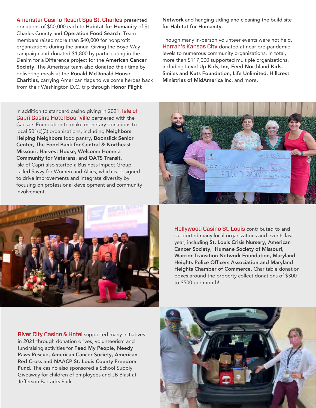Ameristar Casino Resort Spa St. Charles presented donations of \$50,000 each to Habitat for Humanity of St. Charles County and Operation Food Search. Team members raised more than \$40,000 for nonprofit organizations during the annual Giving the Boyd Way campaign and donated \$1,800 by participating in the Denim for a Difference project for the American Cancer Society. The Ameristar team also donated their time by delivering meals at the Ronald McDonald House Charities, carrying American flags to welcome heroes back from their Washington D.C. trip through Honor Flight

In addition to standard casino giving in 2021, Isle of Capri Casino Hotel Boonville partnered with the Caesars Foundation to make monetary donations to local 501(c)(3) organizations, including Neighbors Helping Neighbors food pantry, Boonslick Senior Center, The Food Bank for Central & Northeast Missouri, Harvest House, Welcome Home a Community for Veterans, and OATS Transit. Isle of Capri also started a Business Impact Group called Savvy for Women and Allies, which is designed to drive improvements and integrate diversity by focusing on professional development and community involvement.



Network and hanging siding and cleaning the build site for Habitat for Humanity.

Though many in-person volunteer events were not held, Harrah's Kansas City donated at near pre-pandemic levels to numerous community organizations. In total, more than \$117,000 supported multiple organizations, including Level Up Kids, Inc, Feed Northland Kids, Smiles and Kuts Foundation, Life Unlimited, Hillcrest Ministries of MidAmerica Inc. and more.



Hollywood Casino St. Louis contributed to and supported many local organizations and events last year, including St. Louis Crisis Nursery, American Cancer Society, Humane Society of Missouri, Warrior Transition Network Foundation, Maryland Heights Police Officers Association and Maryland Heights Chamber of Commerce. Charitable donation boxes around the property collect donations of \$300 to \$500 per month!

**River City Casino & Hotel** supported many initiatives in 2021 through donation drives, volunteerism and fundraising activities for Feed My People, Needy Paws Rescue, American Cancer Society, American Red Cross and NAACP St. Louis County Freedom Fund. The casino also sponsored a School Supply Giveaway for children of employees and JB Blast at Jefferson Barracks Park.

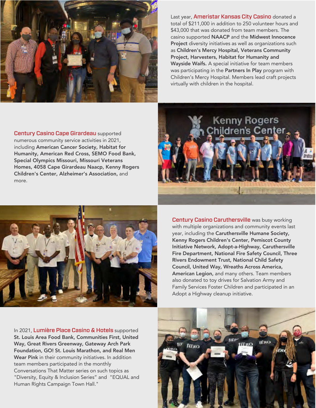

Last year, Ameristar Kansas City Casino donated a total of \$211,000 in addition to 250 volunteer hours and \$43,000 that was donated from team members. The casino supported NAACP and the Midwest Innocence Project diversity initiatives as well as organizations such as Children's Mercy Hospital, Veterans Community Project, Harvesters, Habitat for Humanity and Wayside Waifs. A special initiative for team members was participating in the Partners In Play program with Children's Mercy Hospital. Members lead craft projects virtually with children in the hospital.

Century Casino Cape Girardeau supported numerous community service activities in 2021, including American Cancer Society, Habitat for Humanity, American Red Cross, SEMO Food Bank, Special Olympics Missouri, Missouri Veterans Homes, 4058 Cape Girardeau Naacp, Kenny Rogers Children's Center, Alzheimer's Association, and more.





**Century Casino Caruthersville** was busy working with multiple organizations and community events last year, including the Caruthersville Humane Society, Kenny Rogers Children's Center, Pemiscot County Initiative Network, Adopt-a-Highway, Caruthersville Fire Department, National Fire Safety Council, Three Rivers Endowment Trust, National Child Safety Council, United Way, Wreaths Across America, American Legion, and many others. Team members also donated to toy drives for Salvation Army and Family Services Foster Children and participated in an Adopt a Highway cleanup initiative.

In 2021, Lumière Place Casino & Hotels supported St. Louis Area Food Bank, Communities First, United Way, Great Rivers Greenway, Gateway Arch Park Foundation, GO! St. Louis Marathon, and Real Men Wear Pink in their community initiatives. In addition team members participated in the monthly Conversations That Matter series on such topics as "Diversity, Equity & Inclusion Series" and "EQUAL and Human Rights Campaign Town Hall."

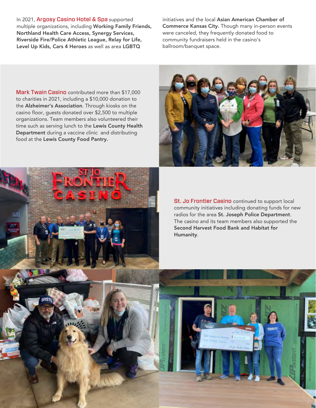In 2021, Argosy Casino Hotel & Spa supported multiple organizations, including Working Family Friends, Northland Health Care Access, Synergy Services, Riverside Fire/Police Athletic League, Relay for Life, Level Up Kids, Cars 4 Heroes as well as area LGBTQ

initiatives and the local Asian American Chamber of Commerce Kansas City. Though many in-person events were canceled, they frequently donated food to community fundraisers held in the casino's ballroom/banquet space.

Mark Twain Casino contributed more than \$17,000 to charities in 2021, including a \$10,000 donation to the Alzheimer's Association. Through kiosks on the casino floor, guests donated over \$2,500 to multiple organizations. Team members also volunteered their time such as serving lunch to the Lewis County Health Department during a vaccine clinic and distributing food at the Lewis County Food Pantry.



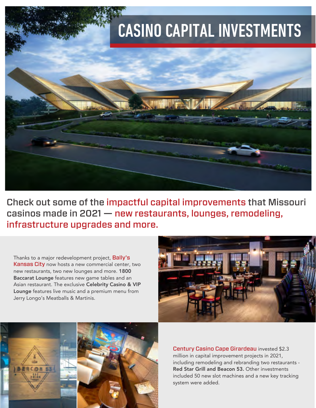

Check out some of the impactful capital improvements that Missouri casinos made in 2021 — new restaurants, lounges, remodeling, infrastructure upgrades and more.

Thanks to a major redevelopment project, Bally's Kansas City now hosts a new commercial center, two new restaurants, two new lounges and more. 1800 Baccarat Lounge features new game tables and an Asian restaurant. The exclusive Celebrity Casino & VIP Lounge features live music and a premium menu from Jerry Longo's Meatballs & Martinis.





Century Casino Cape Girardeau invested \$2.3 million in capital improvement projects in 2021, including remodeling and rebranding two restaurants - Red Star Grill and Beacon 53. Other investments included 50 new slot machines and a new key tracking system were added.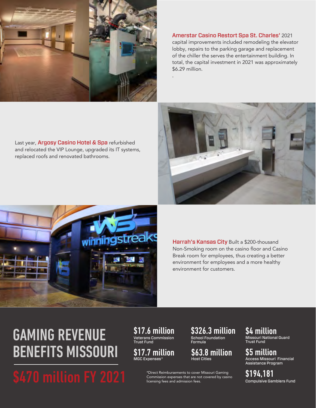

Last year, Argosy Casino Hotel & Spa refurbished and relocated the VIP Lounge, upgraded its IT systems,

replaced roofs and renovated bathrooms.

Amerstar Casino Restort Spa St. Charles' 2021 capital improvements included remodeling the elevator lobby, repairs to the parking garage and replacement of the chiller the serves the entertainment building. In total, the capital investment in 2021 was approximately \$6.29 million.

.





Harrah's Kansas City Built a \$200-thousand Non-Smoking room on the casino floor and Casino Break room for employees, thus creating a better environment for employees and a more healthy environment for customers.

# GAMING REVENUE BENEFITS MISSOURI

\$470 million FY 2021 \*Direct Reimbursements to cover Missouri Gaming<br>licensing fees and admission expenses that are not covered by casing<br>licensing fees and admission fees.

\$17.6 million Veterans Commission Trust Fund

\$17.7 million MGC Expenses\*

\$326.3 million School Foundation Formula

\$63.8 million Host Cities

Commission expenses that are not covered by casino licensing fees and admission fees.

\$4 million Missouri National Guard Trust Fund

\$5 million Access Missouri Financial Assistance Program

\$194,181 Compulsive Gamblers Fund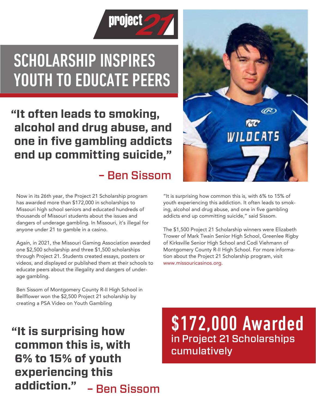

# SCHOLARSHIP INSPIRES YOUTH TO EDUCATE PEERS

# **"It often leads to smoking, alcohol and drug abuse, and one in five gambling addicts end up committing suicide,"**

# – Ben Sissom

Now in its 26th year, the Project 21 Scholarship program has awarded more than \$172,000 in scholarships to Missouri high school seniors and educated hundreds of thousands of Missouri students about the issues and dangers of underage gambling. In Missouri, it's illegal for anyone under 21 to gamble in a casino.

Again, in 2021, the Missouri Gaming Association awarded one \$2,500 scholarship and three \$1,500 scholarships through Project 21. Students created essays, posters or videos, and displayed or published them at their schools to educate peers about the illegality and dangers of underage gambling.

Ben Sissom of Montgomery County R-II High School in Bellflower won the \$2,500 Project 21 scholarship by creating a PSA Video on Youth Gambling

### **"It is surprising how common this is, with 6% to 15% of youth experiencing this addiction."** – Ben Sissom

\$172,000 Awarded in Project 21 Scholarships cumulatively

"It is surprising how common this is, with 6% to 15% of youth experiencing this addiction. It often leads to smoking, alcohol and drug abuse, and one in five gambling addicts end up committing suicide," said Sissom.

The \$1,500 Project 21 Scholarship winners were Elizabeth Trower of Mark Twain Senior High School, Greenlee Rigby of Kirksville Senior High School and Codi Viehmann of Montgomery County R-II High School. For more information about the Project 21 Scholarship program, visit www.missouricasinos.org.